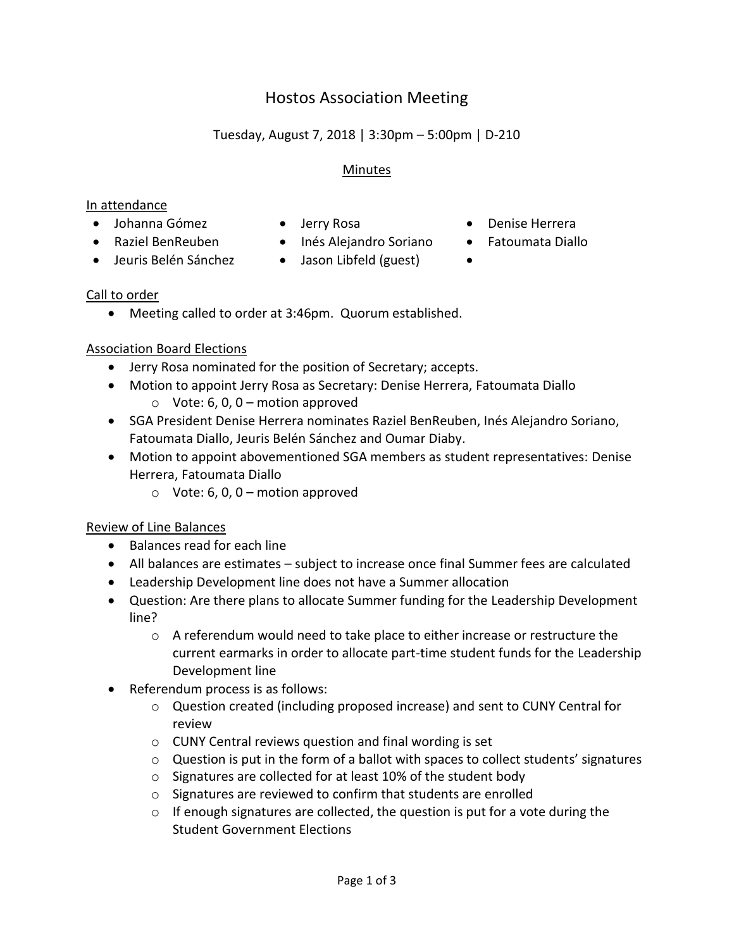# Hostos Association Meeting

# Tuesday, August 7, 2018 | 3:30pm – 5:00pm | D-210

#### Minutes

#### In attendance

- Johanna Gómez Jerry Rosa Denise Herrera
	-
- Raziel BenReuben Inés Alejandro Soriano Fatoumata Diallo
- 
- 
- Jeuris Belén Sánchez Jason Libfeld (guest)
- 

- Call to order
	- Meeting called to order at 3:46pm. Quorum established.

### Association Board Elections

- Jerry Rosa nominated for the position of Secretary; accepts.
- Motion to appoint Jerry Rosa as Secretary: Denise Herrera, Fatoumata Diallo
	- $\circ$  Vote: 6, 0, 0 motion approved
- SGA President Denise Herrera nominates Raziel BenReuben, Inés Alejandro Soriano, Fatoumata Diallo, Jeuris Belén Sánchez and Oumar Diaby.
- Motion to appoint abovementioned SGA members as student representatives: Denise Herrera, Fatoumata Diallo
	- $\circ$  Vote: 6, 0, 0 motion approved

### Review of Line Balances

- Balances read for each line
- All balances are estimates subject to increase once final Summer fees are calculated
- Leadership Development line does not have a Summer allocation
- Question: Are there plans to allocate Summer funding for the Leadership Development line?
	- $\circ$  A referendum would need to take place to either increase or restructure the current earmarks in order to allocate part-time student funds for the Leadership Development line
- Referendum process is as follows:
	- o Question created (including proposed increase) and sent to CUNY Central for review
	- o CUNY Central reviews question and final wording is set
	- $\circ$  Question is put in the form of a ballot with spaces to collect students' signatures
	- o Signatures are collected for at least 10% of the student body
	- o Signatures are reviewed to confirm that students are enrolled
	- $\circ$  If enough signatures are collected, the question is put for a vote during the Student Government Elections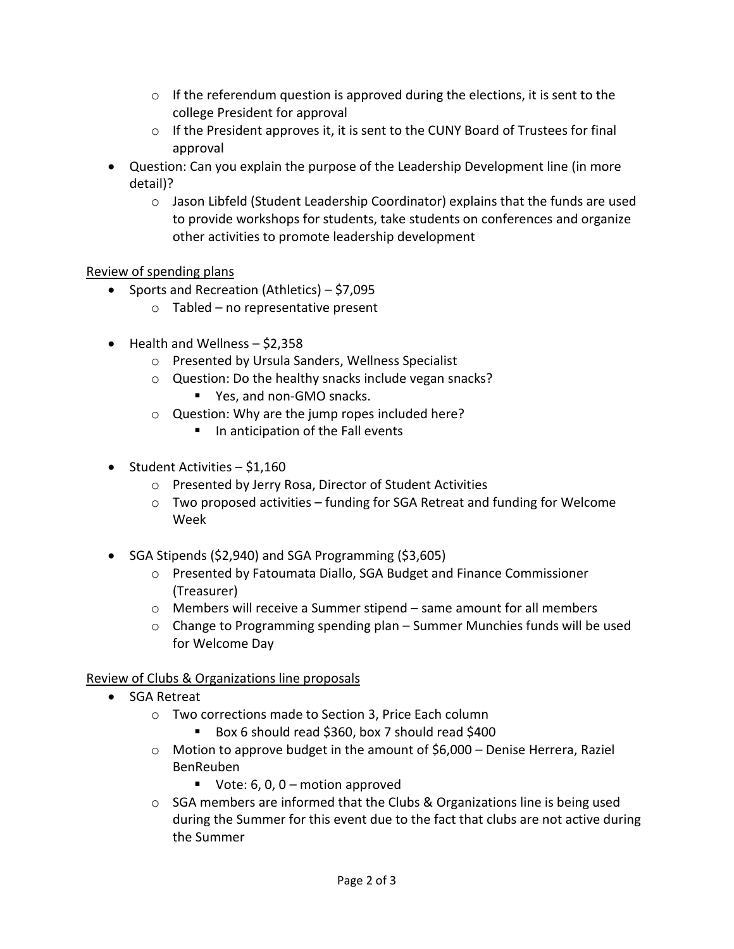- $\circ$  If the referendum question is approved during the elections, it is sent to the college President for approval
- $\circ$  If the President approves it, it is sent to the CUNY Board of Trustees for final approval
- Question: Can you explain the purpose of the Leadership Development line (in more detail)?
	- $\circ$  Jason Libfeld (Student Leadership Coordinator) explains that the funds are used to provide workshops for students, take students on conferences and organize other activities to promote leadership development

## Review of spending plans

- Sports and Recreation (Athletics)  $-$  \$7,095
	- $\circ$  Tabled no representative present
- Health and Wellness \$2,358
	- o Presented by Ursula Sanders, Wellness Specialist
	- o Question: Do the healthy snacks include vegan snacks? ■ Yes, and non-GMO snacks.
	- o Question: Why are the jump ropes included here?
		- In anticipation of the Fall events
- $\bullet$  Student Activities \$1,160
	- o Presented by Jerry Rosa, Director of Student Activities
	- $\circ$  Two proposed activities funding for SGA Retreat and funding for Welcome Week
- SGA Stipends (\$2,940) and SGA Programming (\$3,605)
	- o Presented by Fatoumata Diallo, SGA Budget and Finance Commissioner (Treasurer)
	- o Members will receive a Summer stipend same amount for all members
	- o Change to Programming spending plan Summer Munchies funds will be used for Welcome Day

## Review of Clubs & Organizations line proposals

- SGA Retreat
	- o Two corrections made to Section 3, Price Each column
		- Box 6 should read \$360, box 7 should read \$400
	- $\circ$  Motion to approve budget in the amount of \$6,000 Denise Herrera, Raziel BenReuben
		- Vote:  $6, 0, 0$  motion approved
	- $\circ$  SGA members are informed that the Clubs & Organizations line is being used during the Summer for this event due to the fact that clubs are not active during the Summer